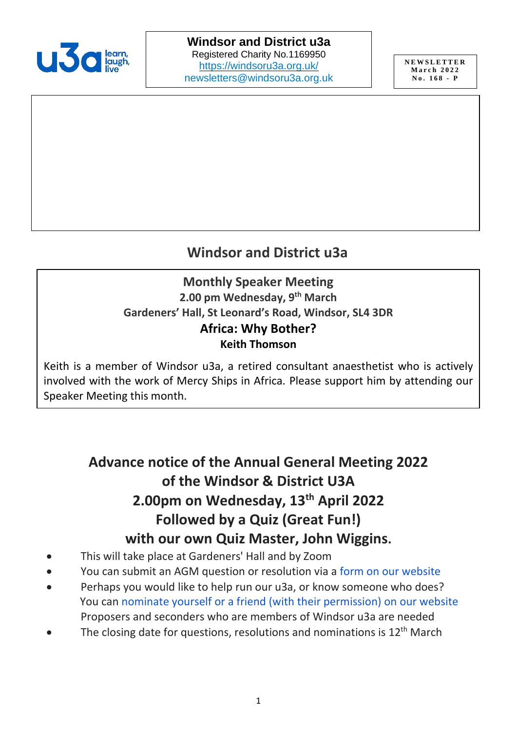

## **Windsor and District u3a**

#### **Monthly Speaker Meeting 2.00 pm Wednesday, 9 th March Gardeners' Hall, St Leonard's Road, Windsor, SL4 3DR Africa: Why Bother? Keith Thomson**

Keith is a member of Windsor u3a, a retired consultant anaesthetist who is actively involved with the work of Mercy Ships in Africa. Please support him by attending our Speaker Meeting this month.

# **Advance notice of the Annual General Meeting 2022 of the Windsor & District U3A 2.00pm on Wednesday, 13th April 2022 Followed by a Quiz (Great Fun!) with our own Quiz Master, John Wiggins.**

- This will take place at Gardeners' Hall and by Zoom
- You can submit an AGM question or resolution via a [form on our website](https://windsoru3a.org.uk/question-or-resolution-form/)
- Perhaps you would like to help run our u3a, or know someone who does? You can nominate yourself or a friend (with [their permission\) on our website](https://windsoru3a.org.uk/committee-nomination-form/) Proposers and seconders who are members of Windsor u3a are needed
- The closing date for questions, resolutions and nominations is  $12<sup>th</sup>$  March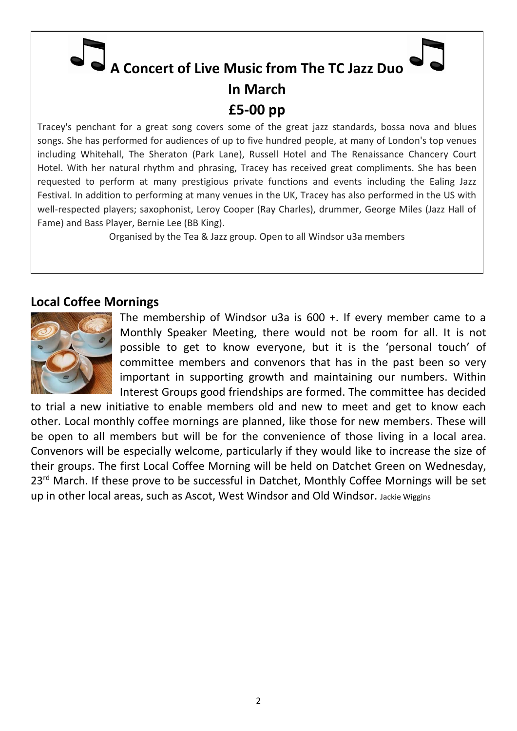# **A Concert of Live Music from The TC Jazz Duo In March £5-00 pp**

Tracey's penchant for a great song covers some of the great jazz standards, bossa nova and blues songs. She has performed for audiences of up to five hundred people, at many of London's top venues including Whitehall, The Sheraton (Park Lane), Russell Hotel and The Renaissance Chancery Court Hotel. With her natural rhythm and phrasing, Tracey has received great compliments. She has been requested to perform at many prestigious private functions and events including the Ealing Jazz Festival. In addition to performing at many venues in the UK, Tracey has also performed in the US with well-respected players; saxophonist, Leroy Cooper (Ray Charles), drummer, George Miles (Jazz Hall of Fame) and Bass Player, Bernie Lee (BB King).

Organised by the Tea & Jazz group. Open to all Windsor u3a members

#### **Local Coffee Mornings**



The membership of Windsor u3a is 600 +. If every member came to a Monthly Speaker Meeting, there would not be room for all. It is not possible to get to know everyone, but it is the 'personal touch' of committee members and convenors that has in the past been so very important in supporting growth and maintaining our numbers. Within Interest Groups good friendships are formed. The committee has decided

to trial a new initiative to enable members old and new to meet and get to know each other. Local monthly coffee mornings are planned, like those for new members. These will be open to all members but will be for the convenience of those living in a local area. Convenors will be especially welcome, particularly if they would like to increase the size of their groups. The first Local Coffee Morning will be held on Datchet Green on Wednesday, 23<sup>rd</sup> March. If these prove to be successful in Datchet, Monthly Coffee Mornings will be set up in other local areas, such as Ascot, West Windsor and Old Windsor. Jackie Wiggins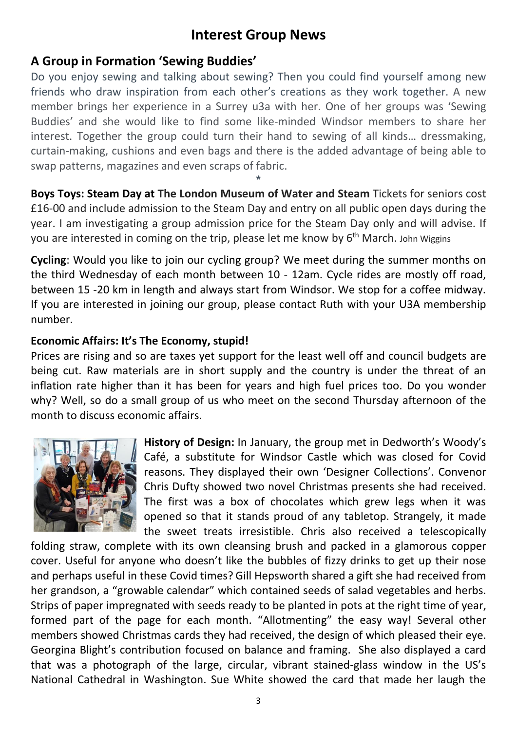## **Interest Group News**

## **A Group in Formation 'Sewing Buddies'**

Do you enjoy sewing and talking about sewing? Then you could find yourself among new friends who draw inspiration from each other's creations as they work together. A new member brings her experience in a Surrey u3a with her. One of her groups was 'Sewing Buddies' and she would like to find some like-minded Windsor members to share her interest. Together the group could turn their hand to sewing of all kinds… dressmaking, curtain-making, cushions and even bags and there is the added advantage of being able to swap patterns, magazines and even scraps of fabric.

**Boys Toys: Steam Day at The London Museum of Water and Steam** Tickets for seniors cost £16-00 and include admission to the Steam Day and entry on all public open days during the year. I am investigating a group admission price for the Steam Day only and will advise. If you are interested in coming on the trip, please let me know by 6<sup>th</sup> March. John Wiggins

**\***

**Cycling**: Would you like to join our cycling group? We meet during the summer months on the third Wednesday of each month between 10 - 12am. Cycle rides are mostly off road, between 15 -20 km in length and always start from Windsor. We stop for a coffee midway. If you are interested in joining our group, please contact Ruth with your U3A membership number.

## **Economic Affairs: It's The Economy, stupid!**

Prices are rising and so are taxes yet support for the least well off and council budgets are being cut. Raw materials are in short supply and the country is under the threat of an inflation rate higher than it has been for years and high fuel prices too. Do you wonder why? Well, so do a small group of us who meet on the second Thursday afternoon of the month to discuss economic affairs.



**History of Design:** In January, the group met in Dedworth's Woody's Café, a substitute for Windsor Castle which was closed for Covid reasons. They displayed their own 'Designer Collections'. Convenor Chris Dufty showed two novel Christmas presents she had received. The first was a box of chocolates which grew legs when it was opened so that it stands proud of any tabletop. Strangely, it made the sweet treats irresistible. Chris also received a telescopically

folding straw, complete with its own cleansing brush and packed in a glamorous copper cover. Useful for anyone who doesn't like the bubbles of fizzy drinks to get up their nose and perhaps useful in these Covid times? Gill Hepsworth shared a gift she had received from her grandson, a "growable calendar" which contained seeds of salad vegetables and herbs. Strips of paper impregnated with seeds ready to be planted in pots at the right time of year, formed part of the page for each month. "Allotmenting" the easy way! Several other members showed Christmas cards they had received, the design of which pleased their eye. Georgina Blight's contribution focused on balance and framing. She also displayed a card that was a photograph of the large, circular, vibrant stained-glass window in the US's National Cathedral in Washington. Sue White showed the card that made her laugh the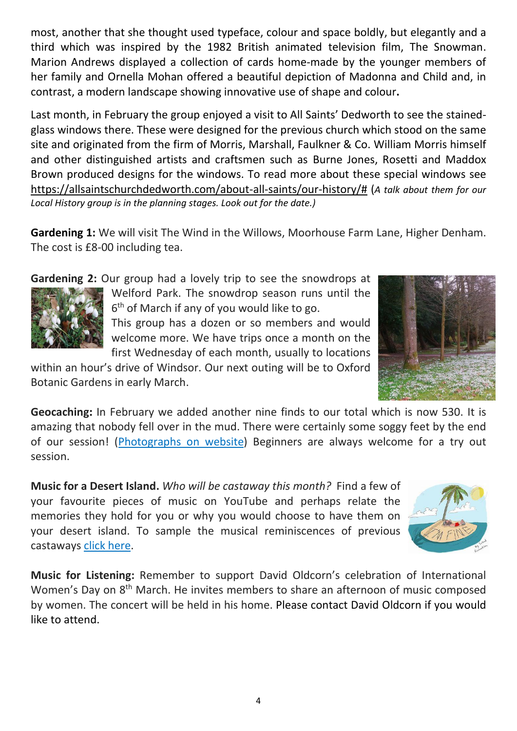most, another that she thought used typeface, colour and space boldly, but elegantly and a third which was inspired by the 1982 British animated television film, The Snowman. Marion Andrews displayed a collection of cards home-made by the younger members of her family and Ornella Mohan offered a beautiful depiction of Madonna and Child and, in contrast, a modern landscape showing innovative use of shape and colour**.**

Last month, in February the group enjoyed a visit to All Saints' Dedworth to see the stainedglass windows there. These were designed for the previous church which stood on the same site and originated from the firm of Morris, Marshall, Faulkner & Co. William Morris himself and other distinguished artists and craftsmen such as Burne Jones, Rosetti and Maddox Brown produced designs for the windows. To read more about these special windows see [https://allsaintschurchdedworth.com/about-all-saints/our-history/#](https://allsaintschurchdedworth.com/about-all-saints/our-history/) (*A talk about them for our Local History group is in the planning stages. Look out for the date.)*

**Gardening 1:** We will visit The Wind in the Willows, Moorhouse Farm Lane, Higher Denham. The cost is £8-00 including tea.

**Gardening 2:** Our group had a lovely trip to see the snowdrops at



Welford Park. The snowdrop season runs until the 6<sup>th</sup> of March if any of you would like to go.

This group has a dozen or so members and would welcome more. We have trips once a month on the first Wednesday of each month, usually to locations

within an hour's drive of Windsor. Our next outing will be to Oxford Botanic Gardens in early March.



**Geocaching:** In February we added another nine finds to our total which is now 530. It is amazing that nobody fell over in the mud. There were certainly some soggy feet by the end of our session! [\(Photographs](https://windsoru3a.org.uk/newsletter-extra-march-2022) on website) Beginners are always welcome for a try out session.

**Music for a Desert Island.** *Who will be castaway this month?* Find a few of your favourite pieces of music on YouTube and perhaps relate the memories they hold for you or why you would choose to have them on your desert island. To sample the musical reminiscences of previous castaways [click here.](https://windsoru3a.org.uk/music-group-playlists-updated-2021/)

![](_page_3_Picture_11.jpeg)

**Music for Listening:** Remember to support David Oldcorn's celebration of International Women's Day on 8<sup>th</sup> March. He invites members to share an afternoon of music composed by women. The concert will be held in his home. Please contact David Oldcorn if you would like to attend.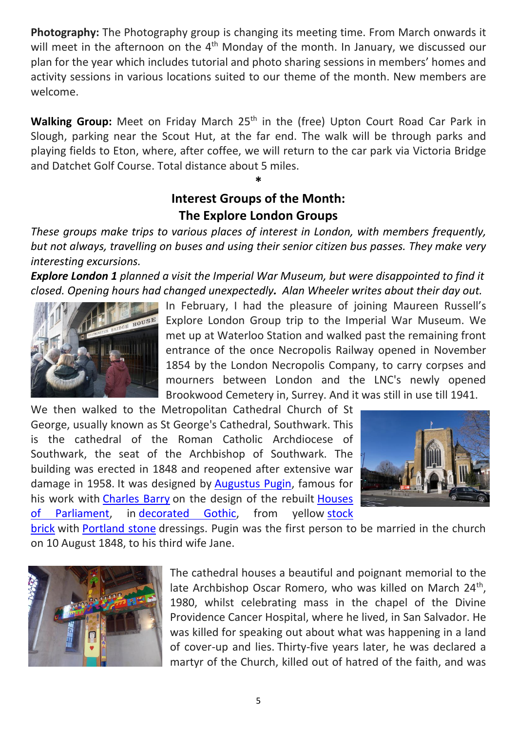**Photography:** The Photography group is changing its meeting time. From March onwards it will meet in the afternoon on the  $4<sup>th</sup>$  Monday of the month. In January, we discussed our plan for the year which includes tutorial and photo sharing sessions in members' homes and activity sessions in various locations suited to our theme of the month. New members are welcome.

**Walking Group:** Meet on Friday March 25<sup>th</sup> in the (free) Upton Court Road Car Park in Slough, parking near the Scout Hut, at the far end. The walk will be through parks and playing fields to Eton, where, after coffee, we will return to the car park via Victoria Bridge and Datchet Golf Course. Total distance about 5 miles.

## **Interest Groups of the Month: The Explore London Groups**

**\***

*These groups make trips to various places of interest in London, with members frequently, but not always, travelling on buses and using their senior citizen bus passes. They make very interesting excursions.*

*Explore London 1 planned a visit the Imperial War Museum, but were disappointed to find it closed. Opening hours had changed unexpectedly. Alan Wheeler writes about their day out.*

![](_page_4_Picture_5.jpeg)

In February, I had the pleasure of joining Maureen Russell's Explore London Group trip to the Imperial War Museum. We met up at Waterloo Station and walked past the remaining front entrance of the once Necropolis Railway opened in November 1854 by the London Necropolis Company, to carry corpses and mourners between London and the LNC's newly opened Brookwood Cemetery in, Surrey. And it was still in use till 1941.

We then walked to the Metropolitan Cathedral Church of St George, usually known as St George's Cathedral, Southwark. This is the cathedral of the Roman Catholic Archdiocese of Southwark, the seat of the Archbishop of Southwark. The building was erected in 1848 and reopened after extensive war damage in 1958. It was designed by [Augustus Pugin,](https://en.wikipedia.org/wiki/Augustus_Pugin) famous for his work with [Charles Barry](https://en.wikipedia.org/wiki/Charles_Barry) on the design of the rebuilt [Houses](https://en.wikipedia.org/wiki/Houses_of_Parliament)  [of Parliament,](https://en.wikipedia.org/wiki/Houses_of_Parliament) in [decorated Gothic,](https://en.wikipedia.org/wiki/Decorated_Gothic) from yellow [stock](https://en.wikipedia.org/wiki/Stock_brick) 

![](_page_4_Picture_8.jpeg)

[brick](https://en.wikipedia.org/wiki/Stock_brick) with [Portland stone](https://en.wikipedia.org/wiki/Portland_stone) dressings. Pugin was the first person to be married in the church on 10 August 1848, to his third wife Jane.

![](_page_4_Picture_10.jpeg)

The cathedral houses a beautiful and poignant memorial to the late Archbishop Oscar Romero, who was killed on March 24<sup>th</sup>, 1980, whilst celebrating mass in the chapel of the Divine Providence Cancer Hospital, where he lived, in San Salvador. He was killed for speaking out about what was happening in a land of cover-up and lies. Thirty-five years later, he was declared a martyr of the Church, killed out of hatred of the faith, and was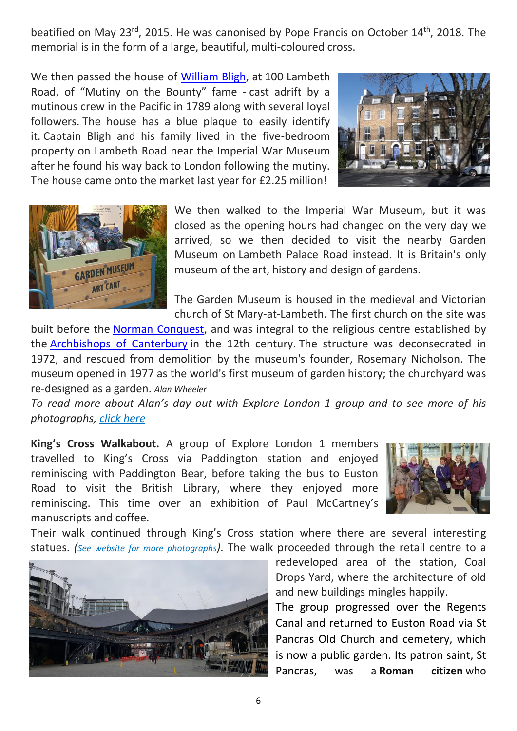beatified on May 23<sup>rd</sup>, 2015. He was canonised by Pope Francis on October 14<sup>th</sup>, 2018. The memorial is in the form of a large, beautiful, multi-coloured cross.

We then passed the house of [William Bligh,](https://en.wikipedia.org/wiki/William_Bligh) at 100 Lambeth Road, of "Mutiny on the Bounty" fame - cast adrift by a mutinous crew in the Pacific in 1789 along with several loyal followers. The house has a blue plaque to easily identify it. Captain Bligh and his family lived in the five-bedroom property on Lambeth Road near the Imperial War Museum after he found his way back to London following the mutiny. The house came onto the market last year for £2.25 million!

![](_page_5_Picture_2.jpeg)

![](_page_5_Picture_3.jpeg)

We then walked to the Imperial War Museum, but it was closed as the opening hours had changed on the very day we arrived, so we then decided to visit the nearby Garden Museum on Lambeth Palace Road instead. It is Britain's only museum of the art, history and design of gardens.

The Garden Museum is housed in the medieval and Victorian church of St Mary-at-Lambeth. The first church on the site was

built before the [Norman Conquest,](https://en.wikipedia.org/wiki/Norman_Conquest) and was integral to the religious centre established by the [Archbishops of Canterbury](https://en.wikipedia.org/wiki/Archbishops_of_Canterbury) in the 12th century. The structure was deconsecrated in 1972, and rescued from demolition by the museum's founder, Rosemary Nicholson. The museum opened in 1977 as the world's first museum of garden history; the churchyard was re-designed as a garden. *Alan Wheeler*

*To read more about Alan's day out with Explore London 1 group and to see more of his photographs, [click here](https://windsoru3a.org.uk/newsletter-extra-march-2022)*

**King's Cross Walkabout.** A group of Explore London 1 members travelled to King's Cross via Paddington station and enjoyed reminiscing with Paddington Bear, before taking the bus to Euston Road to visit the British Library, where they enjoyed more reminiscing. This time over an exhibition of Paul McCartney's manuscripts and coffee.

![](_page_5_Picture_9.jpeg)

Their walk continued through King's Cross station where there are several interesting statues. *([See website for more](https://windsoru3a.org.uk/newsletter-extra-march-2022) photographs)*. The walk proceeded through the retail centre to a

![](_page_5_Picture_11.jpeg)

redeveloped area of the station, Coal Drops Yard, where the architecture of old and new buildings mingles happily.

The group progressed over the Regents Canal and returned to Euston Road via St Pancras Old Church and cemetery, which is now a public garden. Its patron saint, St Pancras, was a **Roman citizen** who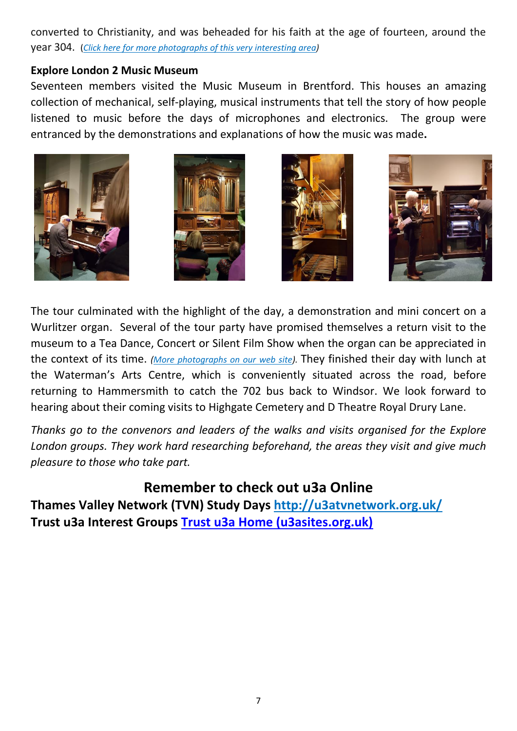converted to Christianity, and was beheaded for his faith at the age of fourteen, around the year 304. (*Click here for more photographs [of this very interesting area\)](https://windsoru3a.org.uk/newsletter-extra-march-2022)*

#### **Explore London 2 Music Museum**

Seventeen members visited the Music Museum in Brentford. This houses an amazing collection of mechanical, self-playing, musical instruments that tell the story of how people listened to music before the days of microphones and electronics. The group were entranced by the demonstrations and explanations of how the music was made**.**

![](_page_6_Picture_3.jpeg)

The tour culminated with the highlight of the day, a demonstration and mini concert on a Wurlitzer organ. Several of the tour party have promised themselves a return visit to the museum to a Tea Dance, Concert or Silent Film Show when the organ can be appreciated in the context of its time. *[\(More photographs](https://windsoru3a.org.uk/newsletter-extra-march-2022) on our web site).* They finished their day with lunch at the Waterman's Arts Centre, which is conveniently situated across the road, before returning to Hammersmith to catch the 702 bus back to Windsor. We look forward to hearing about their coming visits to Highgate Cemetery and D Theatre Royal Drury Lane.

*Thanks go to the convenors and leaders of the walks and visits organised for the Explore London groups. They work hard researching beforehand, the areas they visit and give much pleasure to those who take part.*

## **Remember to check out u3a Online**

**Thames Valley Network (TVN) Study Days <http://u3atvnetwork.org.uk/> Trust u3a Interest Groups [Trust u3a Home \(u3asites.org.uk\)](https://u3asites.org.uk/trustu3a/home)**